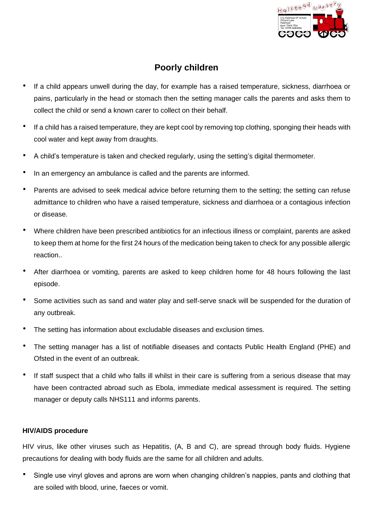

# **Poorly children**

- If a child appears unwell during the day, for example has a raised temperature, sickness, diarrhoea or pains, particularly in the head or stomach then the setting manager calls the parents and asks them to collect the child or send a known carer to collect on their behalf.
- If a child has a raised temperature, they are kept cool by removing top clothing, sponging their heads with cool water and kept away from draughts.
- A child's temperature is taken and checked regularly, using the setting's digital thermometer.
- In an emergency an ambulance is called and the parents are informed.
- Parents are advised to seek medical advice before returning them to the setting; the setting can refuse admittance to children who have a raised temperature, sickness and diarrhoea or a contagious infection or disease.
- Where children have been prescribed antibiotics for an infectious illness or complaint, parents are asked to keep them at home for the first 24 hours of the medication being taken to check for any possible allergic reaction..
- After diarrhoea or vomiting, parents are asked to keep children home for 48 hours following the last episode.
- Some activities such as sand and water play and self-serve snack will be suspended for the duration of any outbreak.
- The setting has information about excludable diseases and exclusion times.
- The setting manager has a list of notifiable diseases and contacts Public Health England (PHE) and Ofsted in the event of an outbreak.
- If staff suspect that a child who falls ill whilst in their care is suffering from a serious disease that may have been contracted abroad such as Ebola, immediate medical assessment is required. The setting manager or deputy calls NHS111 and informs parents.

## **HIV/AIDS procedure**

HIV virus, like other viruses such as Hepatitis, (A, B and C), are spread through body fluids. Hygiene precautions for dealing with body fluids are the same for all children and adults.

• Single use vinyl gloves and aprons are worn when changing children's nappies, pants and clothing that are soiled with blood, urine, faeces or vomit.